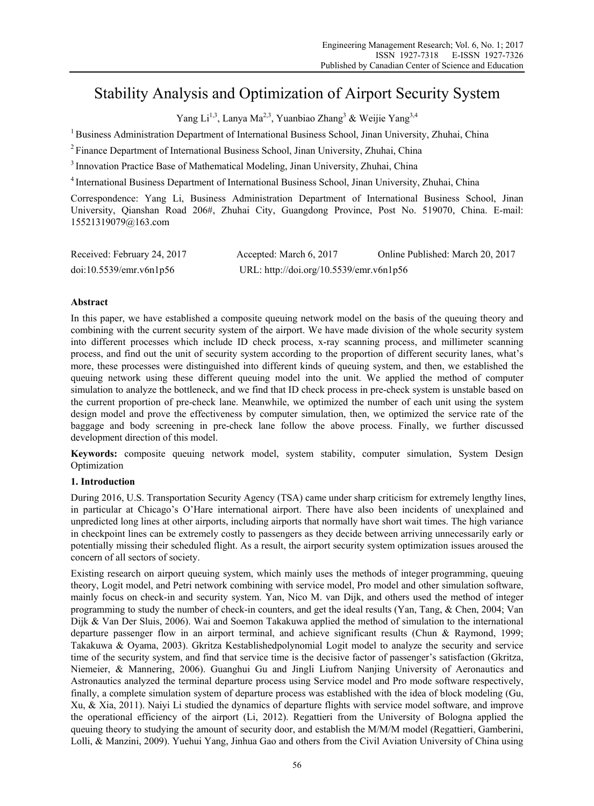# Stability Analysis and Optimization of Airport Security System

Yang Li<sup>1,3</sup>, Lanya Ma<sup>2,3</sup>, Yuanbiao Zhang<sup>3</sup> & Weijie Yang<sup>3,4</sup>

<sup>1</sup> Business Administration Department of International Business School, Jinan University, Zhuhai, China

<sup>2</sup> Finance Department of International Business School, Jinan University, Zhuhai, China

<sup>3</sup> Innovation Practice Base of Mathematical Modeling, Jinan University, Zhuhai, China

4 International Business Department of International Business School, Jinan University, Zhuhai, China

Correspondence: Yang Li, Business Administration Department of International Business School, Jinan University, Qianshan Road 206#, Zhuhai City, Guangdong Province, Post No. 519070, China. E-mail: 15521319079@163.com

| Received: February 24, 2017 | Accepted: March 6, 2017                 | Online Published: March 20, 2017 |
|-----------------------------|-----------------------------------------|----------------------------------|
| doi:10.5539/emr.v6n1p56     | URL: http://doi.org/10.5539/emr.v6n1p56 |                                  |

# **Abstract**

In this paper, we have established a composite queuing network model on the basis of the queuing theory and combining with the current security system of the airport. We have made division of the whole security system into different processes which include ID check process, x-ray scanning process, and millimeter scanning process, and find out the unit of security system according to the proportion of different security lanes, what's more, these processes were distinguished into different kinds of queuing system, and then, we established the queuing network using these different queuing model into the unit. We applied the method of computer simulation to analyze the bottleneck, and we find that ID check process in pre-check system is unstable based on the current proportion of pre-check lane. Meanwhile, we optimized the number of each unit using the system design model and prove the effectiveness by computer simulation, then, we optimized the service rate of the baggage and body screening in pre-check lane follow the above process. Finally, we further discussed development direction of this model.

**Keywords:** composite queuing network model, system stability, computer simulation, System Design **Optimization** 

# **1. Introduction**

During 2016, U.S. Transportation Security Agency (TSA) came under sharp criticism for extremely lengthy lines, in particular at Chicago's O'Hare international airport. There have also been incidents of unexplained and unpredicted long lines at other airports, including airports that normally have short wait times. The high variance in checkpoint lines can be extremely costly to passengers as they decide between arriving unnecessarily early or potentially missing their scheduled flight. As a result, the airport security system optimization issues aroused the concern of all sectors of society.

Existing research on airport queuing system, which mainly uses the methods of integer programming, queuing theory, Logit model, and Petri network combining with service model, Pro model and other simulation software, mainly focus on check-in and security system. Yan, Nico M. van Dijk, and others used the method of integer programming to study the number of check-in counters, and get the ideal results (Yan, Tang, & Chen, 2004; Van Dijk & Van Der Sluis, 2006). Wai and Soemon Takakuwa applied the method of simulation to the international departure passenger flow in an airport terminal, and achieve significant results (Chun & Raymond, 1999; Takakuwa & Oyama, 2003). Gkritza Kestablishedpolynomial Logit model to analyze the security and service time of the security system, and find that service time is the decisive factor of passenger's satisfaction (Gkritza, Niemeier, & Mannering, 2006). Guanghui Gu and Jingli Liufrom Nanjing University of Aeronautics and Astronautics analyzed the terminal departure process using Service model and Pro mode software respectively, finally, a complete simulation system of departure process was established with the idea of block modeling (Gu, Xu, & Xia, 2011). Naiyi Li studied the dynamics of departure flights with service model software, and improve the operational efficiency of the airport (Li, 2012). Regattieri from the University of Bologna applied the queuing theory to studying the amount of security door, and establish the M/M/M model (Regattieri, Gamberini, Lolli, & Manzini, 2009). Yuehui Yang, Jinhua Gao and others from the Civil Aviation University of China using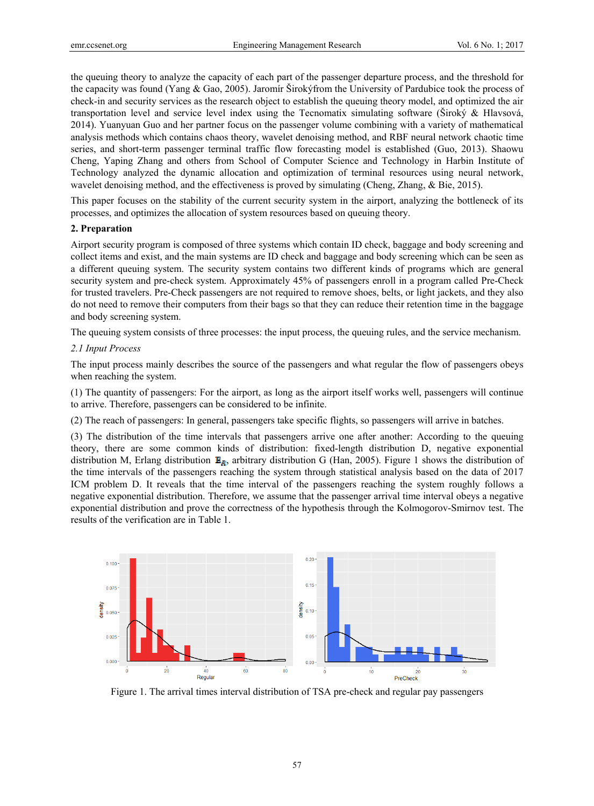the queuing theory to analyze the capacity of each part of the passenger departure process, and the threshold for the capacity was found (Yang & Gao, 2005). Jaromír Širokýfrom the University of Pardubice took the process of check-in and security services as the research object to establish the queuing theory model, and optimized the air transportation level and service level index using the Tecnomatix simulating software (Široký & Hlavsová, 2014). Yuanyuan Guo and her partner focus on the passenger volume combining with a variety of mathematical analysis methods which contains chaos theory, wavelet denoising method, and RBF neural network chaotic time series, and short-term passenger terminal traffic flow forecasting model is established (Guo, 2013). Shaowu Cheng, Yaping Zhang and others from School of Computer Science and Technology in Harbin Institute of Technology analyzed the dynamic allocation and optimization of terminal resources using neural network, wavelet denoising method, and the effectiveness is proved by simulating (Cheng, Zhang, & Bie, 2015).

This paper focuses on the stability of the current security system in the airport, analyzing the bottleneck of its processes, and optimizes the allocation of system resources based on queuing theory.

#### **2. Preparation**

Airport security program is composed of three systems which contain ID check, baggage and body screening and collect items and exist, and the main systems are ID check and baggage and body screening which can be seen as a different queuing system. The security system contains two different kinds of programs which are general security system and pre-check system. Approximately 45% of passengers enroll in a program called Pre-Check for trusted travelers. Pre-Check passengers are not required to remove shoes, belts, or light jackets, and they also do not need to remove their computers from their bags so that they can reduce their retention time in the baggage and body screening system.

The queuing system consists of three processes: the input process, the queuing rules, and the service mechanism.

#### *2.1 Input Process*

The input process mainly describes the source of the passengers and what regular the flow of passengers obeys when reaching the system.

(1) The quantity of passengers: For the airport, as long as the airport itself works well, passengers will continue to arrive. Therefore, passengers can be considered to be infinite.

(2) The reach of passengers: In general, passengers take specific flights, so passengers will arrive in batches.

(3) The distribution of the time intervals that passengers arrive one after another: According to the queuing theory, there are some common kinds of distribution: fixed-length distribution D, negative exponential distribution M, Erlang distribution  $E_R$ , arbitrary distribution G (Han, 2005). Figure 1 shows the distribution of the time intervals of the passengers reaching the system through statistical analysis based on the data of 2017 ICM problem D. It reveals that the time interval of the passengers reaching the system roughly follows a negative exponential distribution. Therefore, we assume that the passenger arrival time interval obeys a negative exponential distribution and prove the correctness of the hypothesis through the Kolmogorov-Smirnov test. The results of the verification are in Table 1.



Figure 1. The arrival times interval distribution of TSA pre-check and regular pay passengers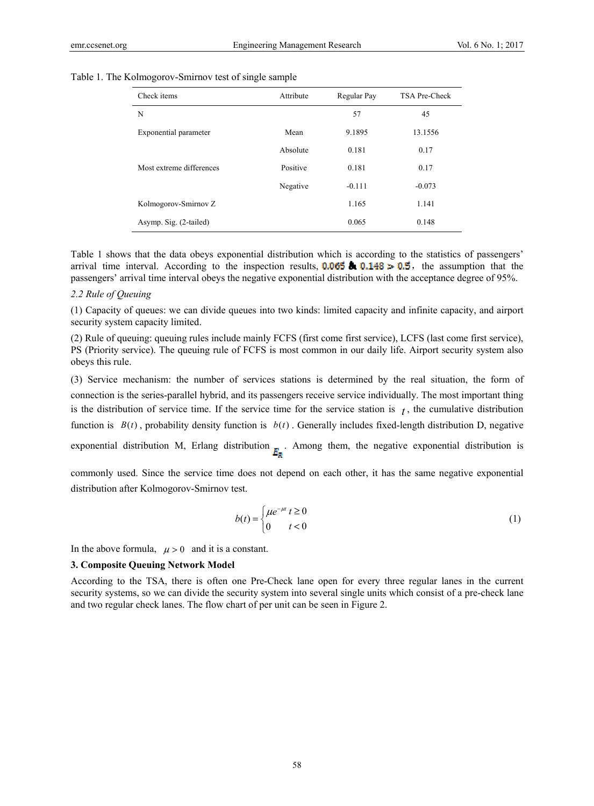| Check items              | Attribute | Regular Pay | TSA Pre-Check |
|--------------------------|-----------|-------------|---------------|
| N                        |           | 57          | 45            |
| Exponential parameter    | Mean      | 9.1895      | 13.1556       |
|                          | Absolute  | 0.181       | 0.17          |
| Most extreme differences | Positive  | 0.181       | 0.17          |
|                          | Negative  | $-0.111$    | $-0.073$      |
| Kolmogorov-Smirnov Z     |           | 1.165       | 1.141         |
| Asymp. Sig. (2-tailed)   |           | 0.065       | 0.148         |

#### Table 1. The Kolmogorov-Smirnov test of single sample

Table 1 shows that the data obeys exponential distribution which is according to the statistics of passengers' arrival time interval. According to the inspection results,  $0.065 \div 0.148 > 0.5$ , the assumption that the passengers' arrival time interval obeys the negative exponential distribution with the acceptance degree of 95%.

#### *2.2 Rule of Queuing*

(1) Capacity of queues: we can divide queues into two kinds: limited capacity and infinite capacity, and airport security system capacity limited.

(2) Rule of queuing: queuing rules include mainly FCFS (first come first service), LCFS (last come first service), PS (Priority service). The queuing rule of FCFS is most common in our daily life. Airport security system also obeys this rule.

(3) Service mechanism: the number of services stations is determined by the real situation, the form of connection is the series-parallel hybrid, and its passengers receive service individually. The most important thing is the distribution of service time. If the service time for the service station is  $t<sub>1</sub>$ , the cumulative distribution function is  $B(t)$ , probability density function is  $b(t)$ . Generally includes fixed-length distribution D, negative exponential distribution M, Erlang distribution  $\mathbf{F}_{n}$ . Among them, the negative exponential distribution is

commonly used. Since the service time does not depend on each other, it has the same negative exponential distribution after Kolmogorov-Smirnov test.

$$
b(t) = \begin{cases} \mu e^{-\mu t} & t \ge 0 \\ 0 & t < 0 \end{cases}
$$
 (1)

In the above formula,  $\mu > 0$  and it is a constant.

# **3. Composite Queuing Network Model**

According to the TSA, there is often one Pre-Check lane open for every three regular lanes in the current security systems, so we can divide the security system into several single units which consist of a pre-check lane and two regular check lanes. The flow chart of per unit can be seen in Figure 2.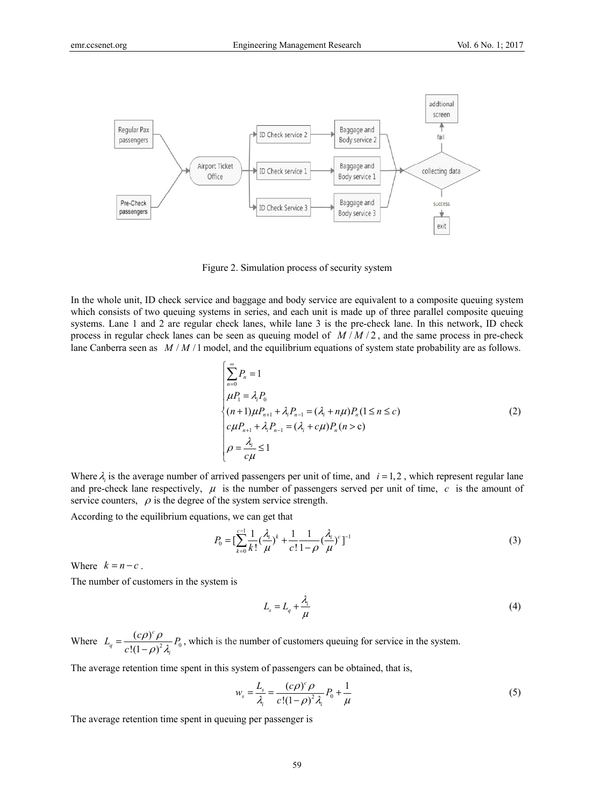

Figure 2. Simulation process of security system

In the whole unit, ID check service and baggage and body service are equivalent to a composite queuing system which consists of two queuing systems in series, and each unit is made up of three parallel composite queuing systems. Lane 1 and 2 are regular check lanes, while lane 3 is the pre-check lane. In this network, ID check process in regular check lanes can be seen as queuing model of  $M/M/2$ , and the same process in pre-check lane Canberra seen as  $M/M/1$  model, and the equilibrium equations of system state probability are as follows.

$$
\begin{cases}\n\sum_{n=0}^{\infty} P_n = 1 \\
\mu P_1 = \lambda_i P_0 \\
(n+1)\mu P_{n+1} + \lambda_i P_{n-1} = (\lambda_i + n\mu) P_n (1 \le n \le c) \\
c\mu P_{n+1} + \lambda_i P_{n-1} = (\lambda_i + c\mu) P_n (n > c) \\
\rho = \frac{\lambda_i}{c\mu} \le 1\n\end{cases}
$$
\n(2)

Where  $\lambda_i$  is the average number of arrived passengers per unit of time, and  $i = 1, 2$ , which represent regular lane and pre-check lane respectively,  $\mu$  is the number of passengers served per unit of time, *c* is the amount of service counters,  $\rho$  is the degree of the system service strength.

According to the equilibrium equations, we can get that

$$
P_0 = \left[\sum_{k=0}^{c-1} \frac{1}{k!} \left(\frac{\lambda_i}{\mu}\right)^k + \frac{1}{c!} \frac{1}{1-\rho} \left(\frac{\lambda_i}{\mu}\right)^c\right]^{-1} \tag{3}
$$

Where  $k = n - c$ .

The number of customers in the system is

$$
L_s = L_q + \frac{\lambda_i}{\mu} \tag{4}
$$

Where  $L_q = \frac{(c\rho)^c \rho}{a!(1-\rho)^2} P_0$  $! (1 - \rho)$ *c*  $q = c!{(1-\rho)^2 \lambda_i}$  $L_q = \frac{(c\rho)^c \rho}{c!(1-\rho)^2 \lambda_i} P_0$  $=\frac{(c\rho)^{3}\rho}{c!(1-\rho)^{2}\lambda_{i}}P_{0}$ , which is the number of customers queuing for service in the system.

The average retention time spent in this system of passengers can be obtained, that is,

$$
w_s = \frac{L_s}{\lambda_i} = \frac{(c\rho)^c \rho}{c!(1-\rho)^2 \lambda_i} P_0 + \frac{1}{\mu}
$$
\n(5)

The average retention time spent in queuing per passenger is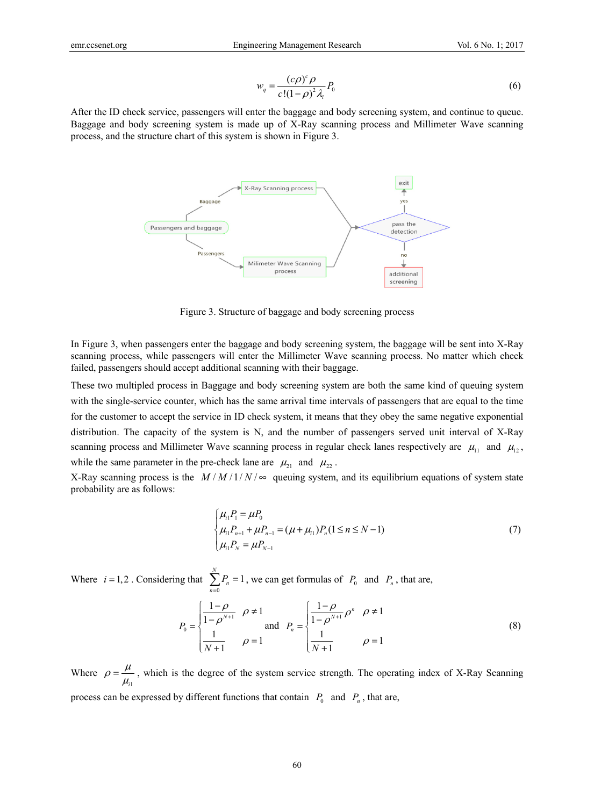$$
w_q = \frac{(c\rho)^c \rho}{c!(1-\rho)^2 \lambda_i} P_0 \tag{6}
$$

After the ID check service, passengers will enter the baggage and body screening system, and continue to queue. Baggage and body screening system is made up of X-Ray scanning process and Millimeter Wave scanning process, and the structure chart of this system is shown in Figure 3.



Figure 3. Structure of baggage and body screening process

In Figure 3, when passengers enter the baggage and body screening system, the baggage will be sent into X-Ray scanning process, while passengers will enter the Millimeter Wave scanning process. No matter which check failed, passengers should accept additional scanning with their baggage.

These two multipled process in Baggage and body screening system are both the same kind of queuing system with the single-service counter, which has the same arrival time intervals of passengers that are equal to the time for the customer to accept the service in ID check system, it means that they obey the same negative exponential distribution. The capacity of the system is N, and the number of passengers served unit interval of X-Ray scanning process and Millimeter Wave scanning process in regular check lanes respectively are  $\mu_{11}$  and  $\mu_{12}$ , while the same parameter in the pre-check lane are  $\mu_{21}$  and  $\mu_{22}$ .

X-Ray scanning process is the  $M/M/1/N/\infty$  queuing system, and its equilibrium equations of system state probability are as follows:

$$
\begin{cases}\n\mu_{i1}P_1 = \mu P_0 \\
\mu_{i1}P_{n+1} + \mu_{i1}P_{n-1} = (\mu + \mu_{i1})P_n(1 \le n \le N - 1) \\
\mu_{i1}P_N = \mu_{i1}P_{N-1}\n\end{cases} (7)
$$

Where  $i = 1, 2$ . Considering that  $\sum_{n=0}^{N} P_n = 1$  $\sum_{n=0}^{\infty}$ <sup>1</sup> n *P*  $\sum_{n=0} P_n = 1$ , we can get formulas of  $P_0$  and  $P_n$ , that are,

$$
P_0 = \begin{cases} \frac{1-\rho}{1-\rho^{N+1}} & \rho \neq 1 \\ \frac{1}{N+1} & \rho = 1 \end{cases} \text{ and } P_n = \begin{cases} \frac{1-\rho}{1-\rho^{N+1}} \rho^n & \rho \neq 1 \\ \frac{1}{N+1} & \rho = 1 \end{cases} (8)
$$

Where  $\rho = \frac{\mu}{\mu_{i}}$ , which is the degree of the system service strength. The operating index of X-Ray Scanning *i*1 process can be expressed by different functions that contain  $P_0$  and  $P_n$ , that are,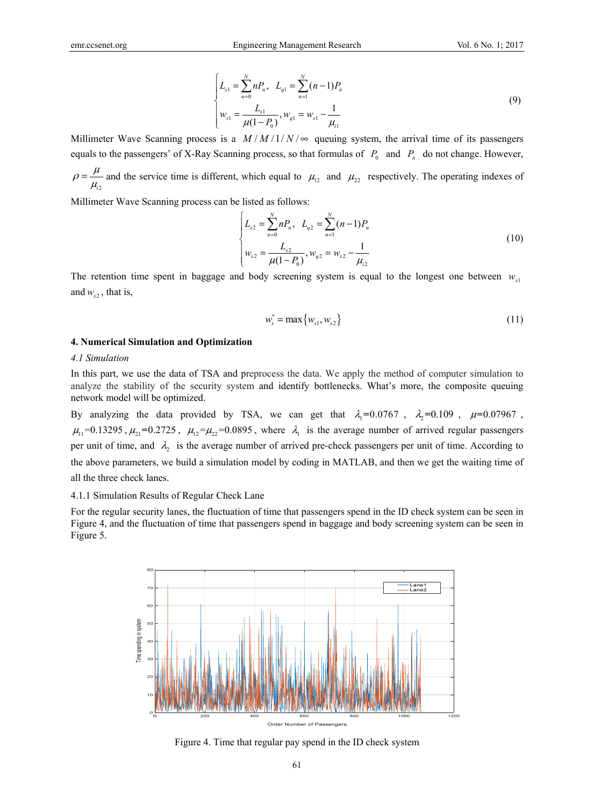$$
\begin{cases}\nL_{s1} = \sum_{n=0}^{N} nP_n, & L_{q1} = \sum_{n=1}^{N} (n-1)P_n \\
w_{s1} = \frac{L_{s1}}{\mu(1-P_0)}, & w_{q1} = w_{s1} - \frac{1}{\mu_{i1}}\n\end{cases}
$$
\n(9)

Millimeter Wave Scanning process is a  $M/M/1/N/\infty$  queuing system, the arrival time of its passengers equals to the passengers' of X-Ray Scanning process, so that formulas of  $P_0$  and  $P_n$  do not change. However,

*i*2  $\rho = \frac{\mu}{\mu_{12}}$  and the service time is different, which equal to  $\mu_{12}$  and  $\mu_{22}$  respectively. The operating indexes of

Millimeter Wave Scanning process can be listed as follows:

$$
\begin{cases}\nL_{s2} = \sum_{n=0}^{N} nP_n, & L_{q2} = \sum_{n=1}^{N} (n-1)P_n \\
w_{s2} = \frac{L_{s2}}{\mu(1-P_0)}, & w_{q2} = w_{s2} - \frac{1}{\mu_{12}}\n\end{cases}
$$
\n(10)

The retention time spent in baggage and body screening system is equal to the longest one between  $w_{\rm st}$ and  $w_{\gamma}$ , that is,

$$
w_s^* = \max \{ w_{s1}, w_{s2} \}
$$
 (11)

### **4. Numerical Simulation and Optimization**

#### *4.1 Simulation*

In this part, we use the data of TSA and preprocess the data. We apply the method of computer simulation to analyze the stability of the security system and identify bottlenecks. What's more, the composite queuing network model will be optimized.

By analyzing the data provided by TSA, we can get that  $\lambda_1 = 0.0767$ ,  $\lambda_2 = 0.109$ ,  $\mu = 0.07967$ ,  $\mu_{11}$ =0.13295,  $\mu_{21}$ =0.2725,  $\mu_{12} = \mu_{22}$ =0.0895, where  $\lambda_1$  is the average number of arrived regular passengers per unit of time, and  $\lambda_2$  is the average number of arrived pre-check passengers per unit of time. According to the above parameters, we build a simulation model by coding in MATLAB, and then we get the waiting time of all the three check lanes.

4.1.1 Simulation Results of Regular Check Lane

For the regular security lanes, the fluctuation of time that passengers spend in the ID check system can be seen in Figure 4, and the fluctuation of time that passengers spend in baggage and body screening system can be seen in Figure 5.



Figure 4. Time that regular pay spend in the ID check system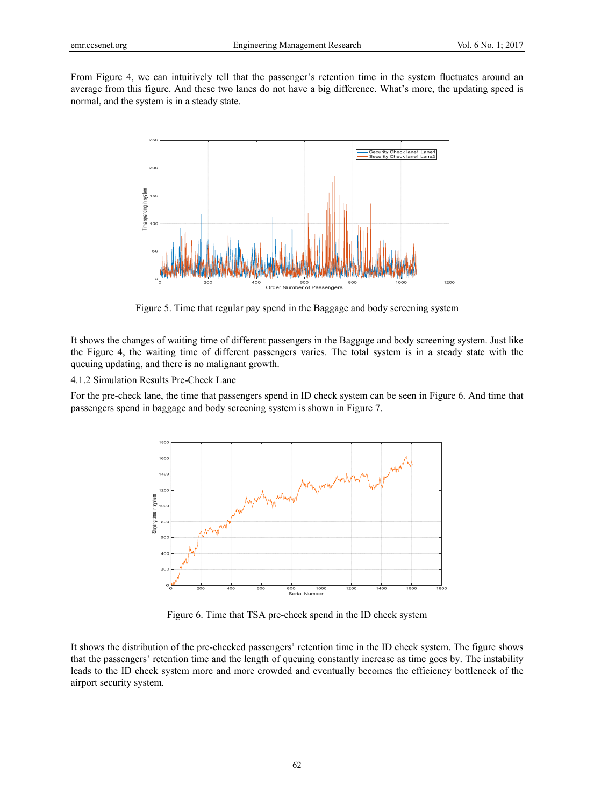From Figure 4, we can intuitively tell that the passenger's retention time in the system fluctuates around an average from this figure. And these two lanes do not have a big difference. What's more, the updating speed is normal, and the system is in a steady state.



Figure 5. Time that regular pay spend in the Baggage and body screening system

It shows the changes of waiting time of different passengers in the Baggage and body screening system. Just like the Figure 4, the waiting time of different passengers varies. The total system is in a steady state with the queuing updating, and there is no malignant growth.

## 4.1.2 Simulation Results Pre-Check Lane

For the pre-check lane, the time that passengers spend in ID check system can be seen in Figure 6. And time that passengers spend in baggage and body screening system is shown in Figure 7.



Figure 6. Time that TSA pre-check spend in the ID check system

It shows the distribution of the pre-checked passengers' retention time in the ID check system. The figure shows that the passengers' retention time and the length of queuing constantly increase as time goes by. The instability leads to the ID check system more and more crowded and eventually becomes the efficiency bottleneck of the airport security system.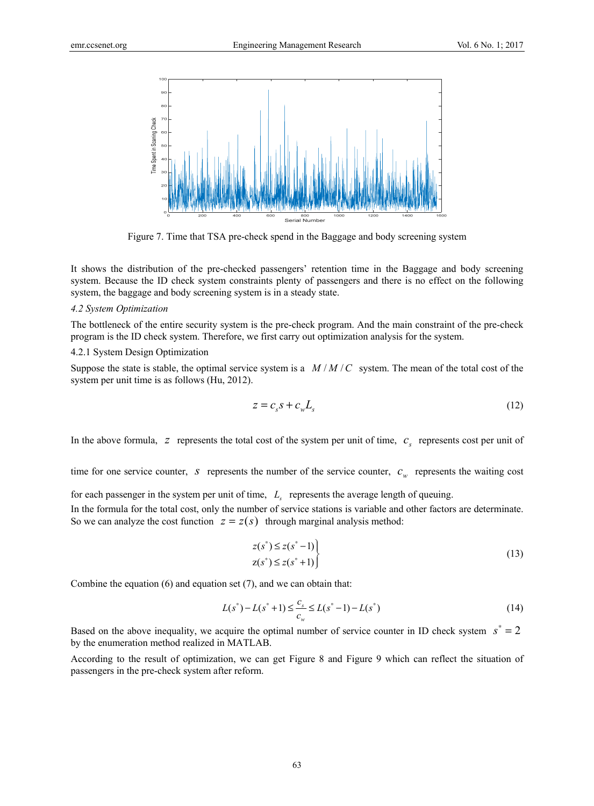

Figure 7. Time that TSA pre-check spend in the Baggage and body screening system

It shows the distribution of the pre-checked passengers' retention time in the Baggage and body screening system. Because the ID check system constraints plenty of passengers and there is no effect on the following system, the baggage and body screening system is in a steady state.

#### *4.2 System Optimization*

The bottleneck of the entire security system is the pre-check program. And the main constraint of the pre-check program is the ID check system. Therefore, we first carry out optimization analysis for the system.

#### 4.2.1 System Design Optimization

Suppose the state is stable, the optimal service system is a  $M/M/C$  system. The mean of the total cost of the system per unit time is as follows (Hu, 2012).

$$
z = c_s s + c_w L_s \tag{12}
$$

In the above formula,  $z$  represents the total cost of the system per unit of time,  $c_s$  represents cost per unit of

time for one service counter,  $S$  represents the number of the service counter,  $C_{av}$  represents the waiting cost

for each passenger in the system per unit of time,  $L<sub>s</sub>$  represents the average length of queuing.

In the formula for the total cost, only the number of service stations is variable and other factors are determinate. So we can analyze the cost function  $z = z(s)$  through marginal analysis method:

$$
z(s^*) \le z(s^* - 1)
$$
  
\n
$$
z(s^*) \le z(s^* + 1)
$$
\n(13)

Combine the equation (6) and equation set (7), and we can obtain that:

$$
L(s^*) - L(s^* + 1) \le \frac{c_s}{c_w} \le L(s^* - 1) - L(s^*)
$$
\n(14)

Based on the above inequality, we acquire the optimal number of service counter in ID check system  $s^* = 2$ by the enumeration method realized in MATLAB.

According to the result of optimization, we can get Figure 8 and Figure 9 which can reflect the situation of passengers in the pre-check system after reform.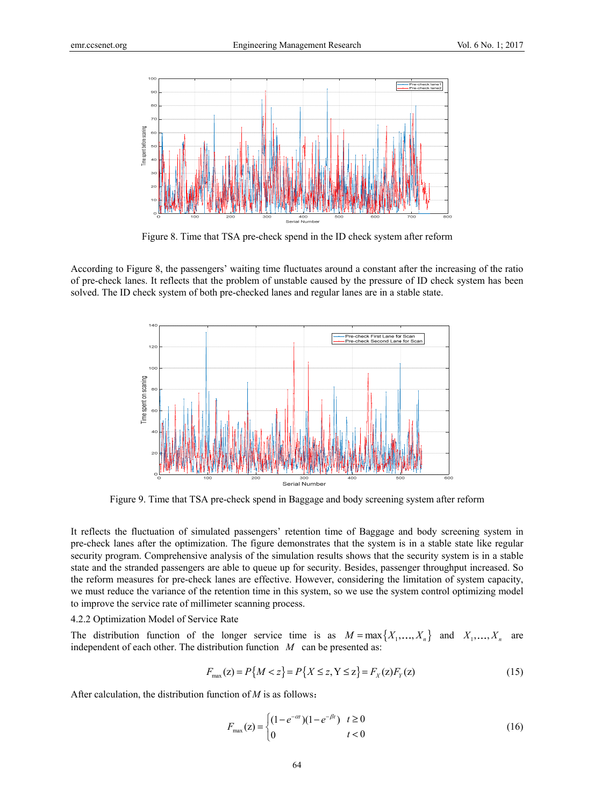

Figure 8. Time that TSA pre-check spend in the ID check system after reform

According to Figure 8, the passengers' waiting time fluctuates around a constant after the increasing of the ratio of pre-check lanes. It reflects that the problem of unstable caused by the pressure of ID check system has been solved. The ID check system of both pre-checked lanes and regular lanes are in a stable state.



Figure 9. Time that TSA pre-check spend in Baggage and body screening system after reform

It reflects the fluctuation of simulated passengers' retention time of Baggage and body screening system in pre-check lanes after the optimization. The figure demonstrates that the system is in a stable state like regular security program. Comprehensive analysis of the simulation results shows that the security system is in a stable state and the stranded passengers are able to queue up for security. Besides, passenger throughput increased. So the reform measures for pre-check lanes are effective. However, considering the limitation of system capacity, we must reduce the variance of the retention time in this system, so we use the system control optimizing model to improve the service rate of millimeter scanning process.

#### 4.2.2 Optimization Model of Service Rate

The distribution function of the longer service time is as  $M = \max\{X_1, \dots, X_n\}$  and  $X_1, \dots, X_n$  are independent of each other. The distribution function  $M$  can be presented as:

$$
F_{\text{max}}(z) = P\{M < z\} = P\{X \le z, Y \le z\} = F_X(z)F_Y(z) \tag{15}
$$

After calculation, the distribution function of *M* is as follows:

$$
F_{\text{max}}(z) = \begin{cases} (1 - e^{-\alpha t})(1 - e^{-\beta t}) & t \ge 0\\ 0 & t < 0 \end{cases} \tag{16}
$$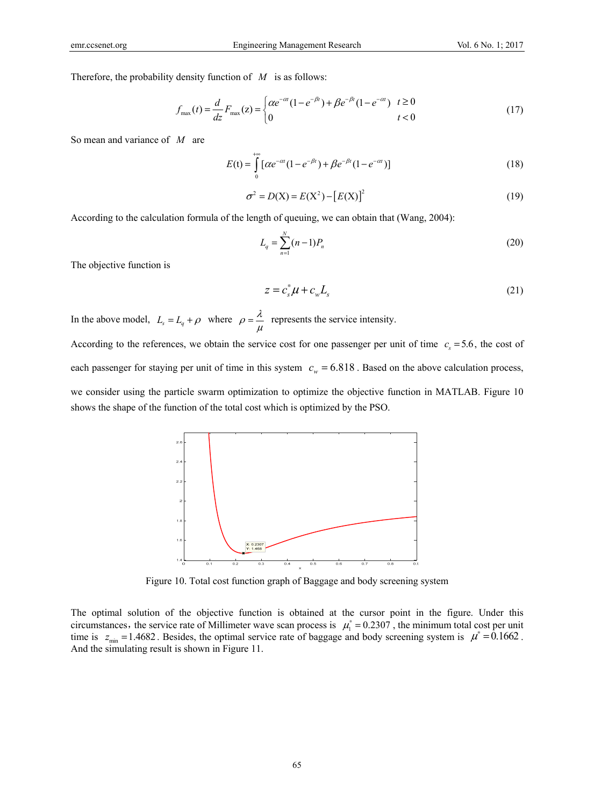Therefore, the probability density function of *M* is as follows:

$$
f_{\max}(t) = \frac{d}{dz} F_{\max}(z) = \begin{cases} \alpha e^{-\alpha t} (1 - e^{-\beta t}) + \beta e^{-\beta t} (1 - e^{-\alpha t}) & t \ge 0 \\ 0 & t < 0 \end{cases} \tag{17}
$$

So mean and variance of *M* are

$$
E(t) = \int_{0}^{+\infty} \left[ \alpha e^{-\alpha t} (1 - e^{-\beta t}) + \beta e^{-\beta t} (1 - e^{-\alpha t}) \right]
$$
 (18)

$$
\sigma^2 = D(X) = E(X^2) - [E(X)]^2
$$
\n(19)

According to the calculation formula of the length of queuing, we can obtain that (Wang, 2004):

$$
L_q = \sum_{n=1}^{N} (n-1) P_n
$$
 (20)

The objective function is

$$
z = c_s^* \mu + c_w L_s \tag{21}
$$

In the above model,  $L_s = L_q + \rho$  where  $\rho = \frac{\lambda}{\mu}$  represents the service intensity.

According to the references, we obtain the service cost for one passenger per unit of time  $c_s = 5.6$ , the cost of each passenger for staying per unit of time in this system  $c_w = 6.818$ . Based on the above calculation process, we consider using the particle swarm optimization to optimize the objective function in MATLAB. Figure 10 shows the shape of the function of the total cost which is optimized by the PSO.



Figure 10. Total cost function graph of Baggage and body screening system

The optimal solution of the objective function is obtained at the cursor point in the figure. Under this circumstances, the service rate of Millimeter wave scan process is  $\mu_{\text{i}}^* = 0.2307$ , the minimum total cost per unit time is  $z_{\text{min}} = 1.4682$ . Besides, the optimal service rate of baggage and body screening system is  $\mu^* = 0.1662$ . And the simulating result is shown in Figure 11.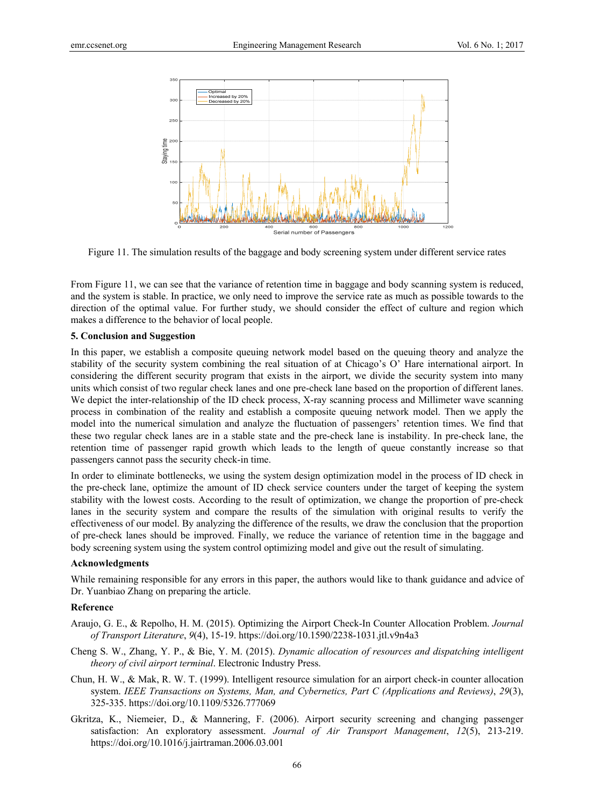

Figure 11. The simulation results of the baggage and body screening system under different service rates

From Figure 11, we can see that the variance of retention time in baggage and body scanning system is reduced, and the system is stable. In practice, we only need to improve the service rate as much as possible towards to the direction of the optimal value. For further study, we should consider the effect of culture and region which makes a difference to the behavior of local people.

#### **5. Conclusion and Suggestion**

In this paper, we establish a composite queuing network model based on the queuing theory and analyze the stability of the security system combining the real situation of at Chicago's O' Hare international airport. In considering the different security program that exists in the airport, we divide the security system into many units which consist of two regular check lanes and one pre-check lane based on the proportion of different lanes. We depict the inter-relationship of the ID check process, X-ray scanning process and Millimeter wave scanning process in combination of the reality and establish a composite queuing network model. Then we apply the model into the numerical simulation and analyze the fluctuation of passengers' retention times. We find that these two regular check lanes are in a stable state and the pre-check lane is instability. In pre-check lane, the retention time of passenger rapid growth which leads to the length of queue constantly increase so that passengers cannot pass the security check-in time.

In order to eliminate bottlenecks, we using the system design optimization model in the process of ID check in the pre-check lane, optimize the amount of ID check service counters under the target of keeping the system stability with the lowest costs. According to the result of optimization, we change the proportion of pre-check lanes in the security system and compare the results of the simulation with original results to verify the effectiveness of our model. By analyzing the difference of the results, we draw the conclusion that the proportion of pre-check lanes should be improved. Finally, we reduce the variance of retention time in the baggage and body screening system using the system control optimizing model and give out the result of simulating.

#### **Acknowledgments**

While remaining responsible for any errors in this paper, the authors would like to thank guidance and advice of Dr. Yuanbiao Zhang on preparing the article.

#### **Reference**

- Araujo, G. E., & Repolho, H. M. (2015). Optimizing the Airport Check-In Counter Allocation Problem. *Journal of Transport Literature*, *9*(4), 15-19. https://doi.org/10.1590/2238-1031.jtl.v9n4a3
- Cheng S. W., Zhang, Y. P., & Bie, Y. M. (2015). *Dynamic allocation of resources and dispatching intelligent theory of civil airport terminal*. Electronic Industry Press.
- Chun, H. W., & Mak, R. W. T. (1999). Intelligent resource simulation for an airport check-in counter allocation system. *IEEE Transactions on Systems, Man, and Cybernetics, Part C (Applications and Reviews)*, *29*(3), 325-335. https://doi.org/10.1109/5326.777069
- Gkritza, K., Niemeier, D., & Mannering, F. (2006). Airport security screening and changing passenger satisfaction: An exploratory assessment. *Journal of Air Transport Management*, *12*(5), 213-219. https://doi.org/10.1016/j.jairtraman.2006.03.001